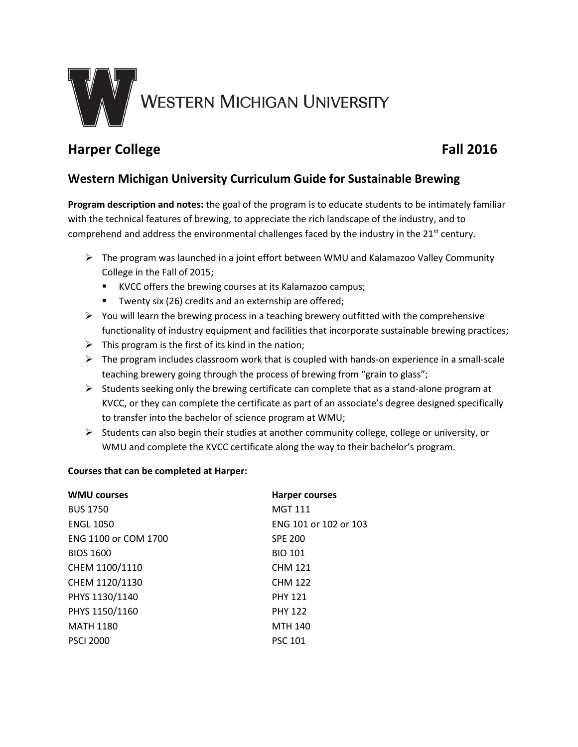

# **Harper College** Fall 2016

## **Western Michigan University Curriculum Guide for Sustainable Brewing**

**Program description and notes:** the goal of the program is to educate students to be intimately familiar with the technical features of brewing, to appreciate the rich landscape of the industry, and to comprehend and address the environmental challenges faced by the industry in the 21<sup>st</sup> century.

- $\triangleright$  The program was launched in a joint effort between WMU and Kalamazoo Valley Community College in the Fall of 2015;
	- KVCC offers the brewing courses at its Kalamazoo campus;
	- **T** Twenty six (26) credits and an externship are offered;
- $\triangleright$  You will learn the brewing process in a teaching brewery outfitted with the comprehensive functionality of industry equipment and facilities that incorporate sustainable brewing practices;
- $\triangleright$  This program is the first of its kind in the nation;
- $\triangleright$  The program includes classroom work that is coupled with hands-on experience in a small-scale teaching brewery going through the process of brewing from "grain to glass";
- $\triangleright$  Students seeking only the brewing certificate can complete that as a stand-alone program at KVCC, or they can complete the certificate as part of an associate's degree designed specifically to transfer into the bachelor of science program at WMU;
- $\triangleright$  Students can also begin their studies at another community college, college or university, or WMU and complete the KVCC certificate along the way to their bachelor's program.

### **Courses that can be completed at Harper:**

| <b>WMU courses</b>   | <b>Harper courses</b> |
|----------------------|-----------------------|
| <b>BUS 1750</b>      | <b>MGT 111</b>        |
| <b>ENGL 1050</b>     | ENG 101 or 102 or 103 |
| ENG 1100 or COM 1700 | <b>SPE 200</b>        |
| <b>BIOS 1600</b>     | <b>BIO 101</b>        |
| CHEM 1100/1110       | <b>CHM 121</b>        |
| CHEM 1120/1130       | <b>CHM 122</b>        |
| PHYS 1130/1140       | <b>PHY 121</b>        |
| PHYS 1150/1160       | <b>PHY 122</b>        |
| <b>MATH 1180</b>     | <b>MTH 140</b>        |
| <b>PSCI 2000</b>     | <b>PSC 101</b>        |